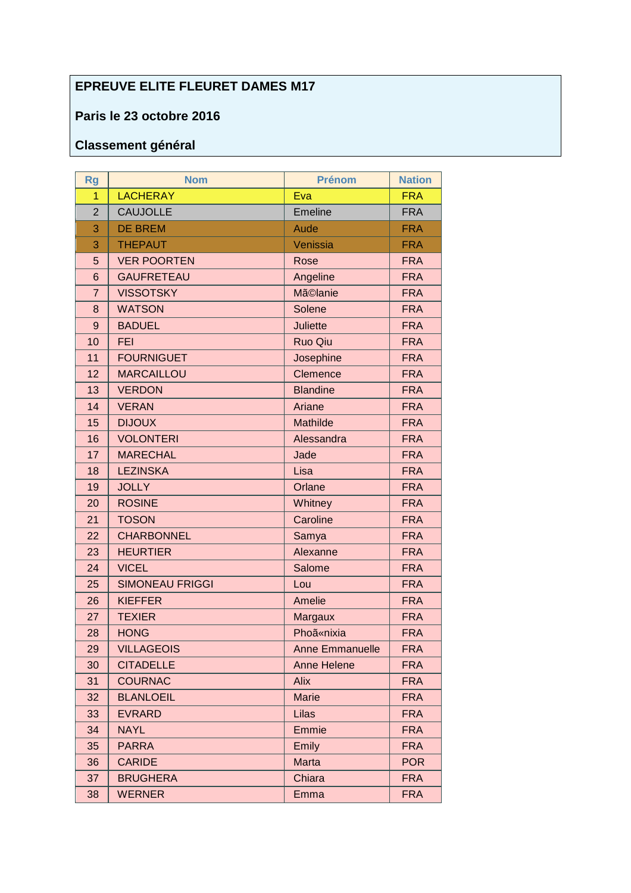## **EPREUVE ELITE FLEURET DAMES M17**

## Paris le 23 octobre 2016

## **Classement général**

| <b>Rg</b>      | <b>Nom</b>             | <b>Prénom</b>      | <b>Nation</b> |
|----------------|------------------------|--------------------|---------------|
| 1              | <b>LACHERAY</b>        | Eva                | <b>FRA</b>    |
| $\overline{2}$ | <b>CAUJOLLE</b>        | Emeline            | <b>FRA</b>    |
| 3              | <b>DE BREM</b>         | Aude               | <b>FRA</b>    |
| 3              | <b>THEPAUT</b>         | Venissia           | <b>FRA</b>    |
| 5              | <b>VER POORTEN</b>     | Rose               | <b>FRA</b>    |
| 6              | <b>GAUFRETEAU</b>      | Angeline           | <b>FRA</b>    |
| $\overline{7}$ | <b>VISSOTSKY</b>       | Mã©lanie           | <b>FRA</b>    |
| 8              | <b>WATSON</b>          | Solene             | <b>FRA</b>    |
| 9              | <b>BADUEL</b>          | <b>Juliette</b>    | <b>FRA</b>    |
| 10             | <b>FEI</b>             | <b>Ruo Qiu</b>     | <b>FRA</b>    |
| 11             | <b>FOURNIGUET</b>      | Josephine          | <b>FRA</b>    |
| 12             | <b>MARCAILLOU</b>      | Clemence           | <b>FRA</b>    |
| 13             | <b>VERDON</b>          | <b>Blandine</b>    | <b>FRA</b>    |
| 14             | <b>VERAN</b>           | Ariane             | <b>FRA</b>    |
| 15             | <b>DIJOUX</b>          | Mathilde           | <b>FRA</b>    |
| 16             | <b>VOLONTERI</b>       | Alessandra         | <b>FRA</b>    |
| 17             | <b>MARECHAL</b>        | Jade               | <b>FRA</b>    |
| 18             | <b>LEZINSKA</b>        | Lisa               | <b>FRA</b>    |
| 19             | <b>JOLLY</b>           | Orlane             | <b>FRA</b>    |
| 20             | <b>ROSINE</b>          | Whitney            | <b>FRA</b>    |
| 21             | <b>TOSON</b>           | Caroline           | <b>FRA</b>    |
| 22             | <b>CHARBONNEL</b>      | Samya              | <b>FRA</b>    |
| 23             | <b>HEURTIER</b>        | Alexanne           | <b>FRA</b>    |
| 24             | <b>VICEL</b>           | Salome             | <b>FRA</b>    |
| 25             | <b>SIMONEAU FRIGGI</b> | Lou                | <b>FRA</b>    |
| 26             | <b>KIEFFER</b>         | Amelie             | <b>FRA</b>    |
| 27             | <b>TEXIER</b>          | <b>Margaux</b>     | <b>FRA</b>    |
| 28             | <b>HONG</b>            | <b>Phoã</b> «nixia | <b>FRA</b>    |
| 29             | <b>VILLAGEOIS</b>      | Anne Emmanuelle    | <b>FRA</b>    |
| 30             | <b>CITADELLE</b>       | <b>Anne Helene</b> | <b>FRA</b>    |
| 31             | <b>COURNAC</b>         | <b>Alix</b>        | <b>FRA</b>    |
| 32             | <b>BLANLOEIL</b>       | <b>Marie</b>       | <b>FRA</b>    |
| 33             | <b>EVRARD</b>          | Lilas              | <b>FRA</b>    |
| 34             | <b>NAYL</b>            | Emmie              | <b>FRA</b>    |
| 35             | <b>PARRA</b>           | Emily              | <b>FRA</b>    |
| 36             | <b>CARIDE</b>          | Marta              | <b>POR</b>    |
| 37             | <b>BRUGHERA</b>        | Chiara             | <b>FRA</b>    |
| 38             | <b>WERNER</b>          | Emma               | <b>FRA</b>    |